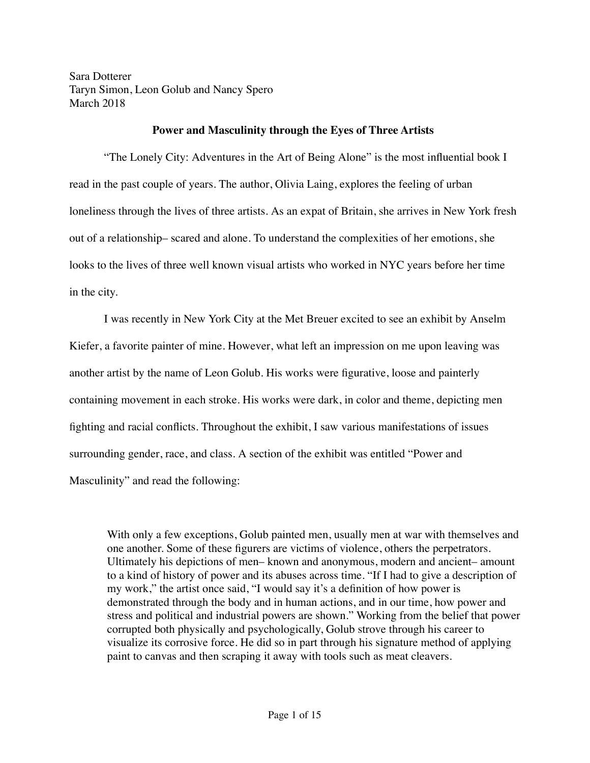Sara Dotterer Taryn Simon, Leon Golub and Nancy Spero March 2018

## **Power and Masculinity through the Eyes of Three Artists**

"The Lonely City: Adventures in the Art of Being Alone" is the most influential book I read in the past couple of years. The author, Olivia Laing, explores the feeling of urban loneliness through the lives of three artists. As an expat of Britain, she arrives in New York fresh out of a relationship– scared and alone. To understand the complexities of her emotions, she looks to the lives of three well known visual artists who worked in NYC years before her time in the city.

I was recently in New York City at the Met Breuer excited to see an exhibit by Anselm Kiefer, a favorite painter of mine. However, what left an impression on me upon leaving was another artist by the name of Leon Golub. His works were figurative, loose and painterly containing movement in each stroke. His works were dark, in color and theme, depicting men fighting and racial conflicts. Throughout the exhibit, I saw various manifestations of issues surrounding gender, race, and class. A section of the exhibit was entitled "Power and Masculinity" and read the following:

With only a few exceptions, Golub painted men, usually men at war with themselves and one another. Some of these figurers are victims of violence, others the perpetrators. Ultimately his depictions of men– known and anonymous, modern and ancient– amount to a kind of history of power and its abuses across time. "If I had to give a description of my work," the artist once said, "I would say it's a definition of how power is demonstrated through the body and in human actions, and in our time, how power and stress and political and industrial powers are shown." Working from the belief that power corrupted both physically and psychologically, Golub strove through his career to visualize its corrosive force. He did so in part through his signature method of applying paint to canvas and then scraping it away with tools such as meat cleavers.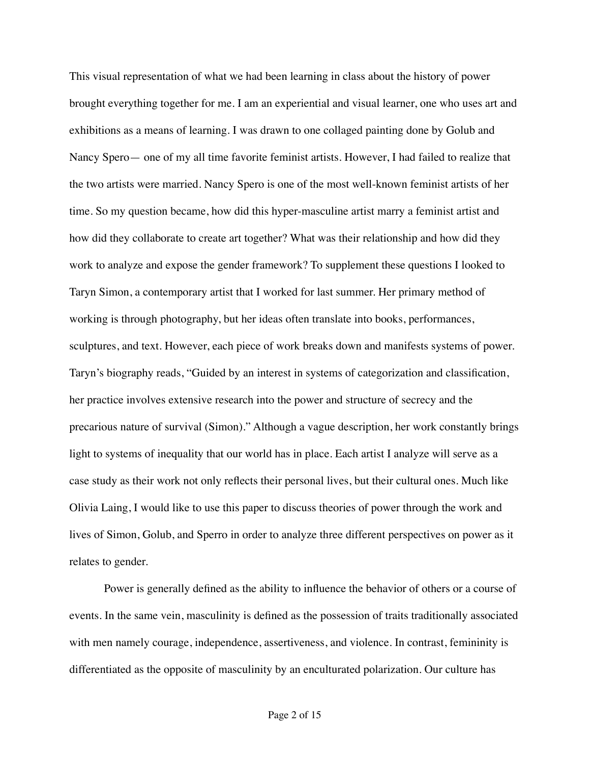This visual representation of what we had been learning in class about the history of power brought everything together for me. I am an experiential and visual learner, one who uses art and exhibitions as a means of learning. I was drawn to one collaged painting done by Golub and Nancy Spero— one of my all time favorite feminist artists. However, I had failed to realize that the two artists were married. Nancy Spero is one of the most well-known feminist artists of her time. So my question became, how did this hyper-masculine artist marry a feminist artist and how did they collaborate to create art together? What was their relationship and how did they work to analyze and expose the gender framework? To supplement these questions I looked to Taryn Simon, a contemporary artist that I worked for last summer. Her primary method of working is through photography, but her ideas often translate into books, performances, sculptures, and text. However, each piece of work breaks down and manifests systems of power. Taryn's biography reads, "Guided by an interest in systems of categorization and classification, her practice involves extensive research into the power and structure of secrecy and the precarious nature of survival (Simon)." Although a vague description, her work constantly brings light to systems of inequality that our world has in place. Each artist I analyze will serve as a case study as their work not only reflects their personal lives, but their cultural ones. Much like Olivia Laing, I would like to use this paper to discuss theories of power through the work and lives of Simon, Golub, and Sperro in order to analyze three different perspectives on power as it relates to gender.

Power is generally defined as the ability to influence the behavior of others or a course of events. In the same vein, masculinity is defined as the possession of traits traditionally associated with men namely courage, independence, assertiveness, and violence. In contrast, femininity is differentiated as the opposite of masculinity by an enculturated polarization. Our culture has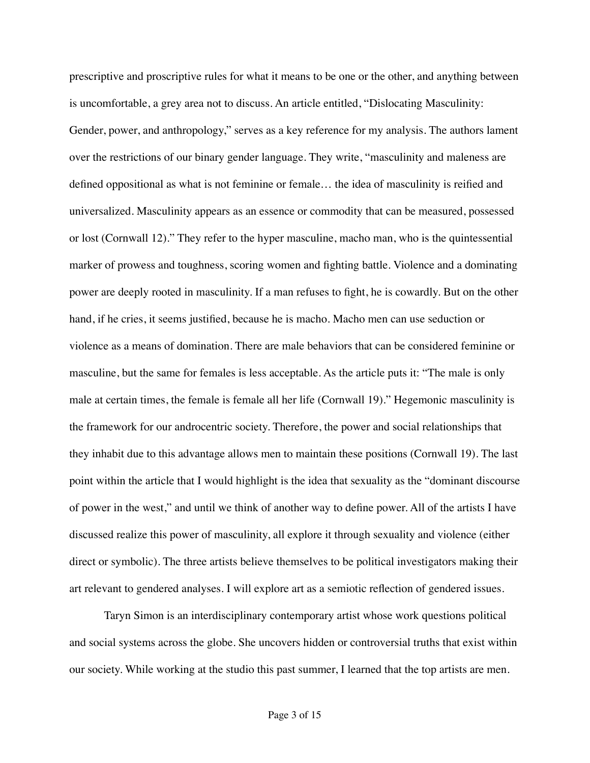prescriptive and proscriptive rules for what it means to be one or the other, and anything between is uncomfortable, a grey area not to discuss. An article entitled, "Dislocating Masculinity: Gender, power, and anthropology," serves as a key reference for my analysis. The authors lament over the restrictions of our binary gender language. They write, "masculinity and maleness are defined oppositional as what is not feminine or female… the idea of masculinity is reified and universalized. Masculinity appears as an essence or commodity that can be measured, possessed or lost (Cornwall 12)." They refer to the hyper masculine, macho man, who is the quintessential marker of prowess and toughness, scoring women and fighting battle. Violence and a dominating power are deeply rooted in masculinity. If a man refuses to fight, he is cowardly. But on the other hand, if he cries, it seems justified, because he is macho. Macho men can use seduction or violence as a means of domination. There are male behaviors that can be considered feminine or masculine, but the same for females is less acceptable. As the article puts it: "The male is only male at certain times, the female is female all her life (Cornwall 19)." Hegemonic masculinity is the framework for our androcentric society. Therefore, the power and social relationships that they inhabit due to this advantage allows men to maintain these positions (Cornwall 19). The last point within the article that I would highlight is the idea that sexuality as the "dominant discourse of power in the west," and until we think of another way to define power. All of the artists I have discussed realize this power of masculinity, all explore it through sexuality and violence (either direct or symbolic). The three artists believe themselves to be political investigators making their art relevant to gendered analyses. I will explore art as a semiotic reflection of gendered issues.

Taryn Simon is an interdisciplinary contemporary artist whose work questions political and social systems across the globe. She uncovers hidden or controversial truths that exist within our society. While working at the studio this past summer, I learned that the top artists are men.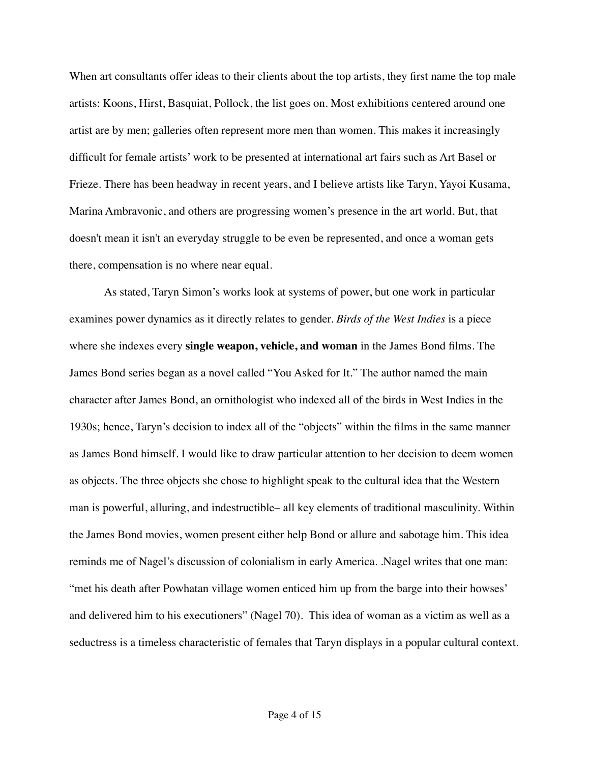When art consultants offer ideas to their clients about the top artists, they first name the top male artists: Koons, Hirst, Basquiat, Pollock, the list goes on. Most exhibitions centered around one artist are by men; galleries often represent more men than women. This makes it increasingly difficult for female artists' work to be presented at international art fairs such as Art Basel or Frieze. There has been headway in recent years, and I believe artists like Taryn, Yayoi Kusama, Marina Ambravonic, and others are progressing women's presence in the art world. But, that doesn't mean it isn't an everyday struggle to be even be represented, and once a woman gets there, compensation is no where near equal.

As stated, Taryn Simon's works look at systems of power, but one work in particular examines power dynamics as it directly relates to gender. *Birds of the West Indies* is a piece where she indexes every **single weapon, vehicle, and woman** in the James Bond films. The James Bond series began as a novel called "You Asked for It." The author named the main character after James Bond, an ornithologist who indexed all of the birds in West Indies in the 1930s; hence, Taryn's decision to index all of the "objects" within the films in the same manner as James Bond himself. I would like to draw particular attention to her decision to deem women as objects. The three objects she chose to highlight speak to the cultural idea that the Western man is powerful, alluring, and indestructible– all key elements of traditional masculinity. Within the James Bond movies, women present either help Bond or allure and sabotage him. This idea reminds me of Nagel's discussion of colonialism in early America. .Nagel writes that one man: "met his death after Powhatan village women enticed him up from the barge into their howses' and delivered him to his executioners" (Nagel 70). This idea of woman as a victim as well as a seductress is a timeless characteristic of females that Taryn displays in a popular cultural context.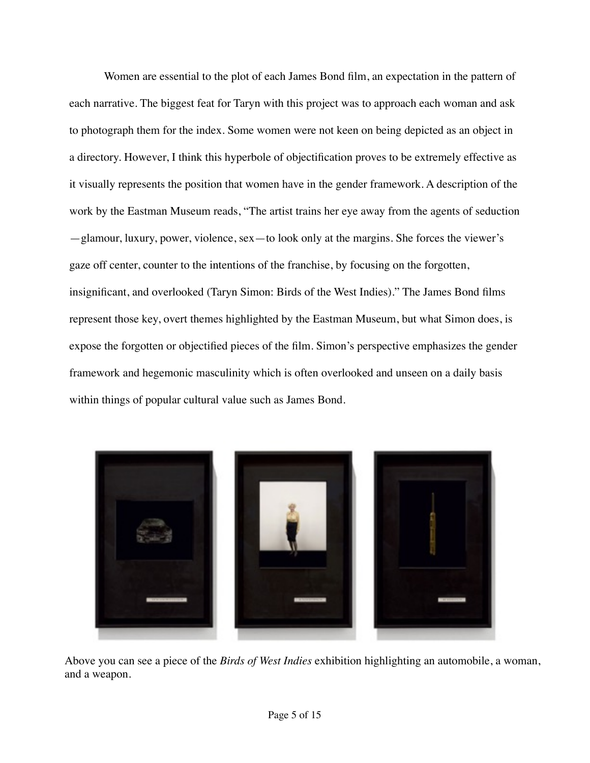Women are essential to the plot of each James Bond film, an expectation in the pattern of each narrative. The biggest feat for Taryn with this project was to approach each woman and ask to photograph them for the index. Some women were not keen on being depicted as an object in a directory. However, I think this hyperbole of objectification proves to be extremely effective as it visually represents the position that women have in the gender framework. A description of the work by the Eastman Museum reads, "The artist trains her eye away from the agents of seduction —glamour, luxury, power, violence, sex—to look only at the margins. She forces the viewer's gaze off center, counter to the intentions of the franchise, by focusing on the forgotten, insignificant, and overlooked (Taryn Simon: Birds of the West Indies)." The James Bond films represent those key, overt themes highlighted by the Eastman Museum, but what Simon does, is expose the forgotten or objectified pieces of the film. Simon's perspective emphasizes the gender framework and hegemonic masculinity which is often overlooked and unseen on a daily basis within things of popular cultural value such as James Bond.



Above you can see a piece of the *Birds of West Indies* exhibition highlighting an automobile, a woman, and a weapon.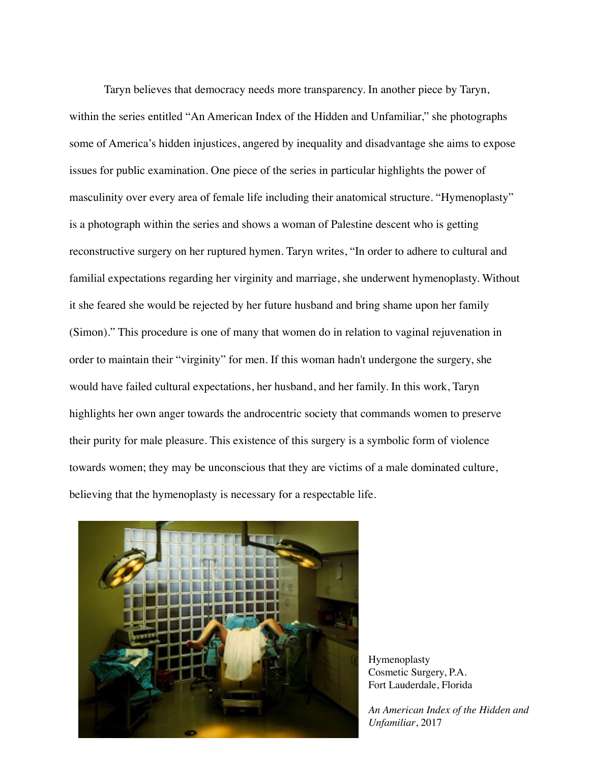Taryn believes that democracy needs more transparency. In another piece by Taryn, within the series entitled "An American Index of the Hidden and Unfamiliar," she photographs some of America's hidden injustices, angered by inequality and disadvantage she aims to expose issues for public examination. One piece of the series in particular highlights the power of masculinity over every area of female life including their anatomical structure. "Hymenoplasty" is a photograph within the series and shows a woman of Palestine descent who is getting reconstructive surgery on her ruptured hymen. Taryn writes, "In order to adhere to cultural and familial expectations regarding her virginity and marriage, she underwent hymenoplasty. Without it she feared she would be rejected by her future husband and bring shame upon her family (Simon)." This procedure is one of many that women do in relation to vaginal rejuvenation in order to maintain their "virginity" for men. If this woman hadn't undergone the surgery, she would have failed cultural expectations, her husband, and her family. In this work, Taryn highlights her own anger towards the androcentric society that commands women to preserve their purity for male pleasure. This existence of this surgery is a symbolic form of violence towards women; they may be unconscious that they are victims of a male dominated culture, believing that the hymenoplasty is necessary for a respectable life.



Hymenoplasty Cosmetic Surgery, P.A. Fort Lauderdale, Florida

*An American Index of the Hidden and Unfamiliar*, 2017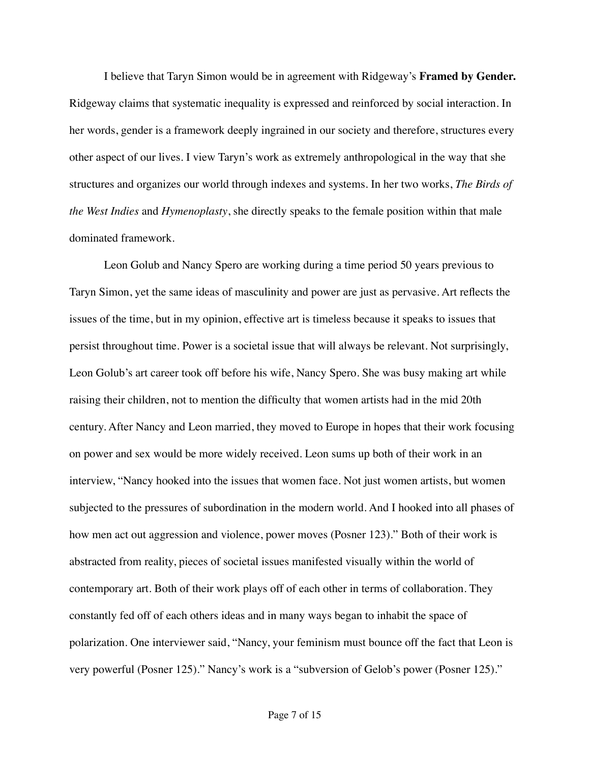I believe that Taryn Simon would be in agreement with Ridgeway's **Framed by Gender.**  Ridgeway claims that systematic inequality is expressed and reinforced by social interaction. In her words, gender is a framework deeply ingrained in our society and therefore, structures every other aspect of our lives. I view Taryn's work as extremely anthropological in the way that she structures and organizes our world through indexes and systems. In her two works, *The Birds of the West Indies* and *Hymenoplasty*, she directly speaks to the female position within that male dominated framework.

Leon Golub and Nancy Spero are working during a time period 50 years previous to Taryn Simon, yet the same ideas of masculinity and power are just as pervasive. Art reflects the issues of the time, but in my opinion, effective art is timeless because it speaks to issues that persist throughout time. Power is a societal issue that will always be relevant. Not surprisingly, Leon Golub's art career took off before his wife, Nancy Spero. She was busy making art while raising their children, not to mention the difficulty that women artists had in the mid 20th century. After Nancy and Leon married, they moved to Europe in hopes that their work focusing on power and sex would be more widely received. Leon sums up both of their work in an interview, "Nancy hooked into the issues that women face. Not just women artists, but women subjected to the pressures of subordination in the modern world. And I hooked into all phases of how men act out aggression and violence, power moves (Posner 123)." Both of their work is abstracted from reality, pieces of societal issues manifested visually within the world of contemporary art. Both of their work plays off of each other in terms of collaboration. They constantly fed off of each others ideas and in many ways began to inhabit the space of polarization. One interviewer said, "Nancy, your feminism must bounce off the fact that Leon is very powerful (Posner 125)." Nancy's work is a "subversion of Gelob's power (Posner 125)."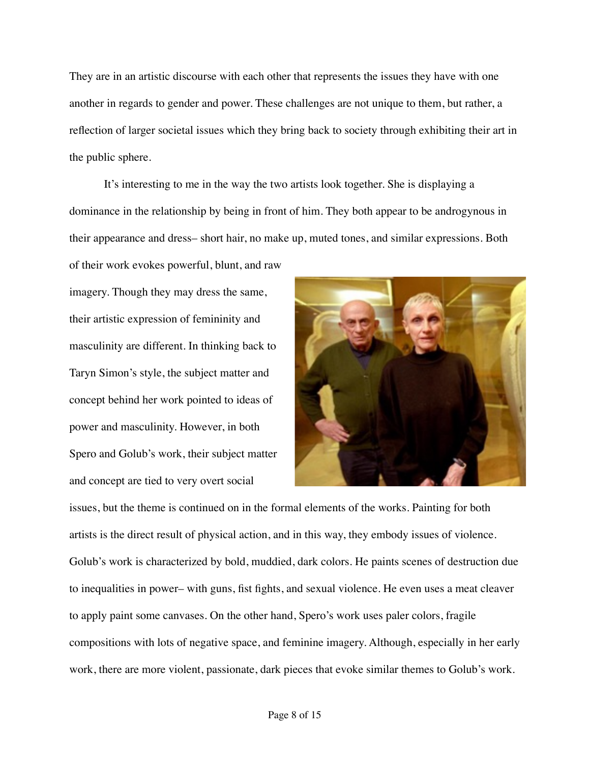They are in an artistic discourse with each other that represents the issues they have with one another in regards to gender and power. These challenges are not unique to them, but rather, a reflection of larger societal issues which they bring back to society through exhibiting their art in the public sphere.

It's interesting to me in the way the two artists look together. She is displaying a dominance in the relationship by being in front of him. They both appear to be androgynous in their appearance and dress– short hair, no make up, muted tones, and similar expressions. Both

imagery. Though they may dress the same, their artistic expression of femininity and masculinity are different. In thinking back to Taryn Simon's style, the subject matter and concept behind her work pointed to ideas of power and masculinity. However, in both Spero and Golub's work, their subject matter and concept are tied to very overt social



issues, but the theme is continued on in the formal elements of the works. Painting for both artists is the direct result of physical action, and in this way, they embody issues of violence. Golub's work is characterized by bold, muddied, dark colors. He paints scenes of destruction due to inequalities in power– with guns, fist fights, and sexual violence. He even uses a meat cleaver to apply paint some canvases. On the other hand, Spero's work uses paler colors, fragile compositions with lots of negative space, and feminine imagery. Although, especially in her early work, there are more violent, passionate, dark pieces that evoke similar themes to Golub's work.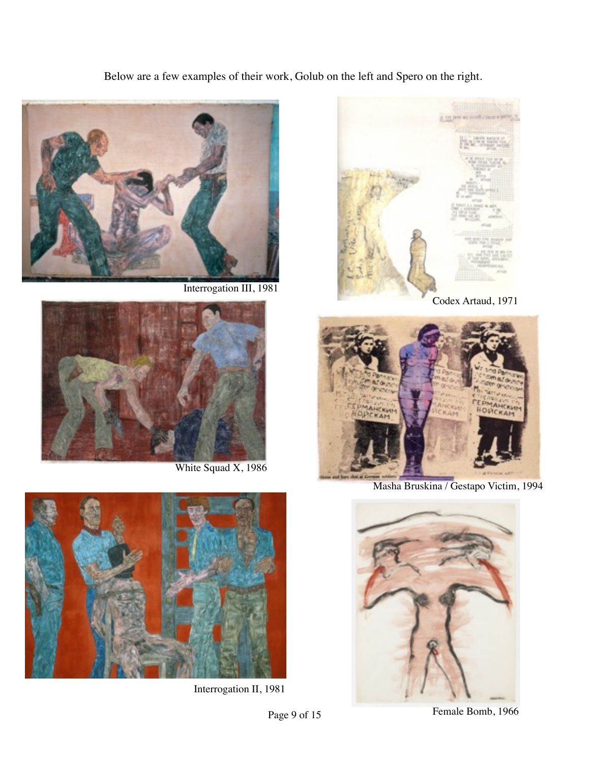Below are a few examples of their work, Golub on the left and Spero on the right.







Masha Bruskina / Gestapo Victim, 1994



Page 9 of 15 Female Bomb, 1966



Interrogation III, 1981



White Squad X, 1986



Interrogation II, 1981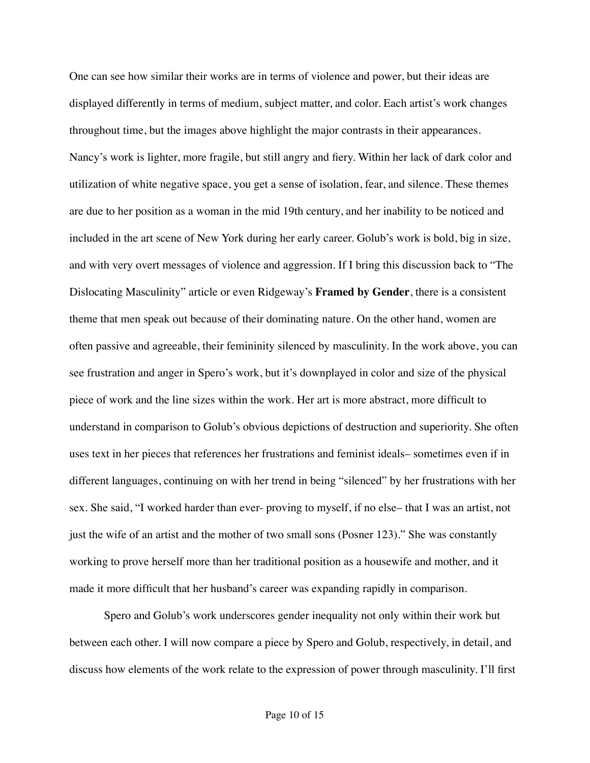One can see how similar their works are in terms of violence and power, but their ideas are displayed differently in terms of medium, subject matter, and color. Each artist's work changes throughout time, but the images above highlight the major contrasts in their appearances. Nancy's work is lighter, more fragile, but still angry and fiery. Within her lack of dark color and utilization of white negative space, you get a sense of isolation, fear, and silence. These themes are due to her position as a woman in the mid 19th century, and her inability to be noticed and included in the art scene of New York during her early career. Golub's work is bold, big in size, and with very overt messages of violence and aggression. If I bring this discussion back to "The Dislocating Masculinity" article or even Ridgeway's **Framed by Gender**, there is a consistent theme that men speak out because of their dominating nature. On the other hand, women are often passive and agreeable, their femininity silenced by masculinity. In the work above, you can see frustration and anger in Spero's work, but it's downplayed in color and size of the physical piece of work and the line sizes within the work. Her art is more abstract, more difficult to understand in comparison to Golub's obvious depictions of destruction and superiority. She often uses text in her pieces that references her frustrations and feminist ideals– sometimes even if in different languages, continuing on with her trend in being "silenced" by her frustrations with her sex. She said, "I worked harder than ever- proving to myself, if no else– that I was an artist, not just the wife of an artist and the mother of two small sons (Posner 123)." She was constantly working to prove herself more than her traditional position as a housewife and mother, and it made it more difficult that her husband's career was expanding rapidly in comparison.

Spero and Golub's work underscores gender inequality not only within their work but between each other. I will now compare a piece by Spero and Golub, respectively, in detail, and discuss how elements of the work relate to the expression of power through masculinity. I'll first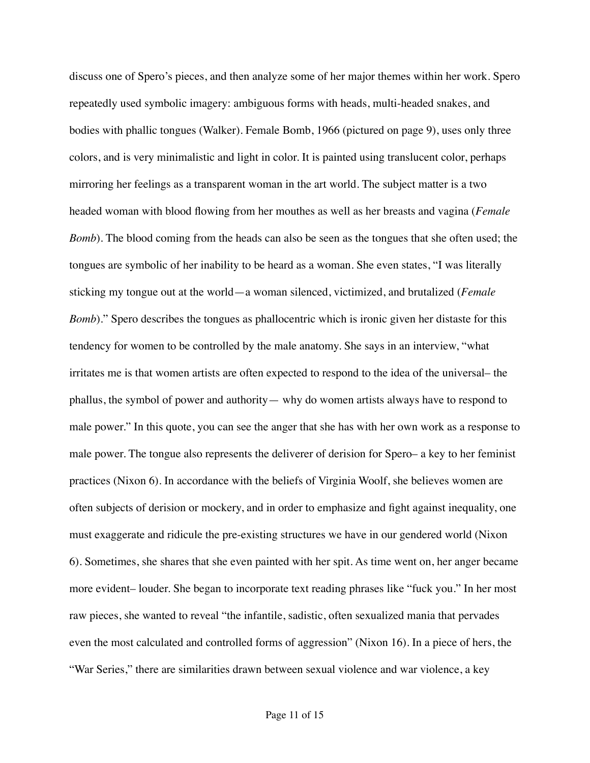discuss one of Spero's pieces, and then analyze some of her major themes within her work. Spero repeatedly used symbolic imagery: ambiguous forms with heads, multi-headed snakes, and bodies with phallic tongues (Walker). Female Bomb, 1966 (pictured on page 9), uses only three colors, and is very minimalistic and light in color. It is painted using translucent color, perhaps mirroring her feelings as a transparent woman in the art world. The subject matter is a two headed woman with blood flowing from her mouthes as well as her breasts and vagina (*Female Bomb*). The blood coming from the heads can also be seen as the tongues that she often used; the tongues are symbolic of her inability to be heard as a woman. She even states, "I was literally sticking my tongue out at the world—a woman silenced, victimized, and brutalized (*Female Bomb*)." Spero describes the tongues as phallocentric which is ironic given her distaste for this tendency for women to be controlled by the male anatomy. She says in an interview, "what irritates me is that women artists are often expected to respond to the idea of the universal– the phallus, the symbol of power and authority— why do women artists always have to respond to male power." In this quote, you can see the anger that she has with her own work as a response to male power. The tongue also represents the deliverer of derision for Spero– a key to her feminist practices (Nixon 6). In accordance with the beliefs of Virginia Woolf, she believes women are often subjects of derision or mockery, and in order to emphasize and fight against inequality, one must exaggerate and ridicule the pre-existing structures we have in our gendered world (Nixon 6). Sometimes, she shares that she even painted with her spit. As time went on, her anger became more evident– louder. She began to incorporate text reading phrases like "fuck you." In her most raw pieces, she wanted to reveal "the infantile, sadistic, often sexualized mania that pervades even the most calculated and controlled forms of aggression" (Nixon 16). In a piece of hers, the "War Series," there are similarities drawn between sexual violence and war violence, a key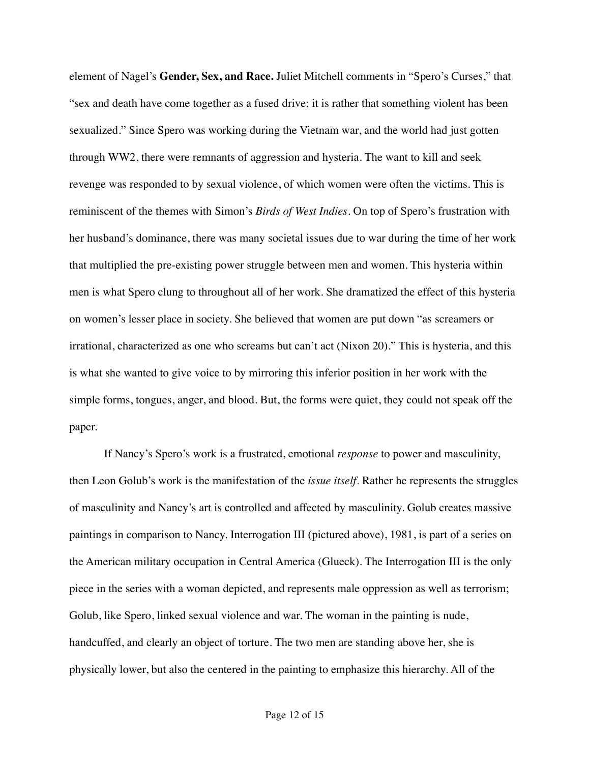element of Nagel's **Gender, Sex, and Race.** Juliet Mitchell comments in "Spero's Curses," that "sex and death have come together as a fused drive; it is rather that something violent has been sexualized." Since Spero was working during the Vietnam war, and the world had just gotten through WW2, there were remnants of aggression and hysteria. The want to kill and seek revenge was responded to by sexual violence, of which women were often the victims. This is reminiscent of the themes with Simon's *Birds of West Indies*. On top of Spero's frustration with her husband's dominance, there was many societal issues due to war during the time of her work that multiplied the pre-existing power struggle between men and women. This hysteria within men is what Spero clung to throughout all of her work. She dramatized the effect of this hysteria on women's lesser place in society. She believed that women are put down "as screamers or irrational, characterized as one who screams but can't act (Nixon 20)." This is hysteria, and this is what she wanted to give voice to by mirroring this inferior position in her work with the simple forms, tongues, anger, and blood. But, the forms were quiet, they could not speak off the paper.

If Nancy's Spero's work is a frustrated, emotional *response* to power and masculinity, then Leon Golub's work is the manifestation of the *issue itself*. Rather he represents the struggles of masculinity and Nancy's art is controlled and affected by masculinity. Golub creates massive paintings in comparison to Nancy. Interrogation III (pictured above), 1981, is part of a series on the American military occupation in Central America (Glueck). The Interrogation III is the only piece in the series with a woman depicted, and represents male oppression as well as terrorism; Golub, like Spero, linked sexual violence and war. The woman in the painting is nude, handcuffed, and clearly an object of torture. The two men are standing above her, she is physically lower, but also the centered in the painting to emphasize this hierarchy. All of the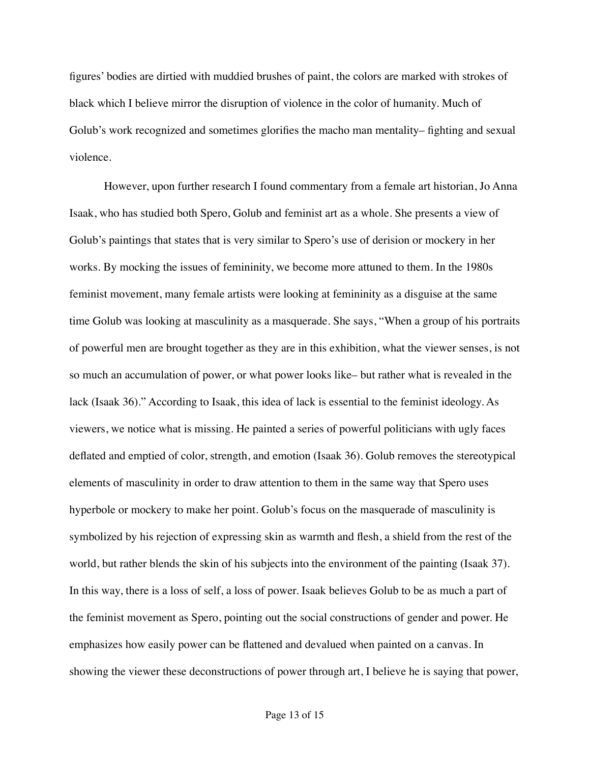figures' bodies are dirtied with muddied brushes of paint, the colors are marked with strokes of black which I believe mirror the disruption of violence in the color of humanity. Much of Golub's work recognized and sometimes glorifies the macho man mentality– fighting and sexual violence.

However, upon further research I found commentary from a female art historian, Jo Anna Isaak, who has studied both Spero, Golub and feminist art as a whole. She presents a view of Golub's paintings that states that is very similar to Spero's use of derision or mockery in her works. By mocking the issues of femininity, we become more attuned to them. In the 1980s feminist movement, many female artists were looking at femininity as a disguise at the same time Golub was looking at masculinity as a masquerade. She says, "When a group of his portraits of powerful men are brought together as they are in this exhibition, what the viewer senses, is not so much an accumulation of power, or what power looks like– but rather what is revealed in the lack (Isaak 36)." According to Isaak, this idea of lack is essential to the feminist ideology. As viewers, we notice what is missing. He painted a series of powerful politicians with ugly faces deflated and emptied of color, strength, and emotion (Isaak 36). Golub removes the stereotypical elements of masculinity in order to draw attention to them in the same way that Spero uses hyperbole or mockery to make her point. Golub's focus on the masquerade of masculinity is symbolized by his rejection of expressing skin as warmth and flesh, a shield from the rest of the world, but rather blends the skin of his subjects into the environment of the painting (Isaak 37). In this way, there is a loss of self, a loss of power. Isaak believes Golub to be as much a part of the feminist movement as Spero, pointing out the social constructions of gender and power. He emphasizes how easily power can be flattened and devalued when painted on a canvas. In showing the viewer these deconstructions of power through art, I believe he is saying that power,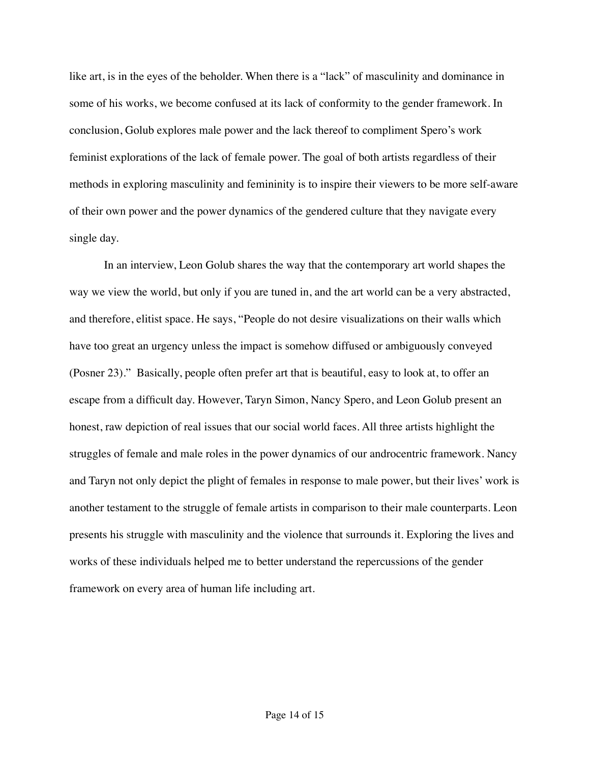like art, is in the eyes of the beholder. When there is a "lack" of masculinity and dominance in some of his works, we become confused at its lack of conformity to the gender framework. In conclusion, Golub explores male power and the lack thereof to compliment Spero's work feminist explorations of the lack of female power. The goal of both artists regardless of their methods in exploring masculinity and femininity is to inspire their viewers to be more self-aware of their own power and the power dynamics of the gendered culture that they navigate every single day.

In an interview, Leon Golub shares the way that the contemporary art world shapes the way we view the world, but only if you are tuned in, and the art world can be a very abstracted, and therefore, elitist space. He says, "People do not desire visualizations on their walls which have too great an urgency unless the impact is somehow diffused or ambiguously conveyed (Posner 23)." Basically, people often prefer art that is beautiful, easy to look at, to offer an escape from a difficult day. However, Taryn Simon, Nancy Spero, and Leon Golub present an honest, raw depiction of real issues that our social world faces. All three artists highlight the struggles of female and male roles in the power dynamics of our androcentric framework. Nancy and Taryn not only depict the plight of females in response to male power, but their lives' work is another testament to the struggle of female artists in comparison to their male counterparts. Leon presents his struggle with masculinity and the violence that surrounds it. Exploring the lives and works of these individuals helped me to better understand the repercussions of the gender framework on every area of human life including art.